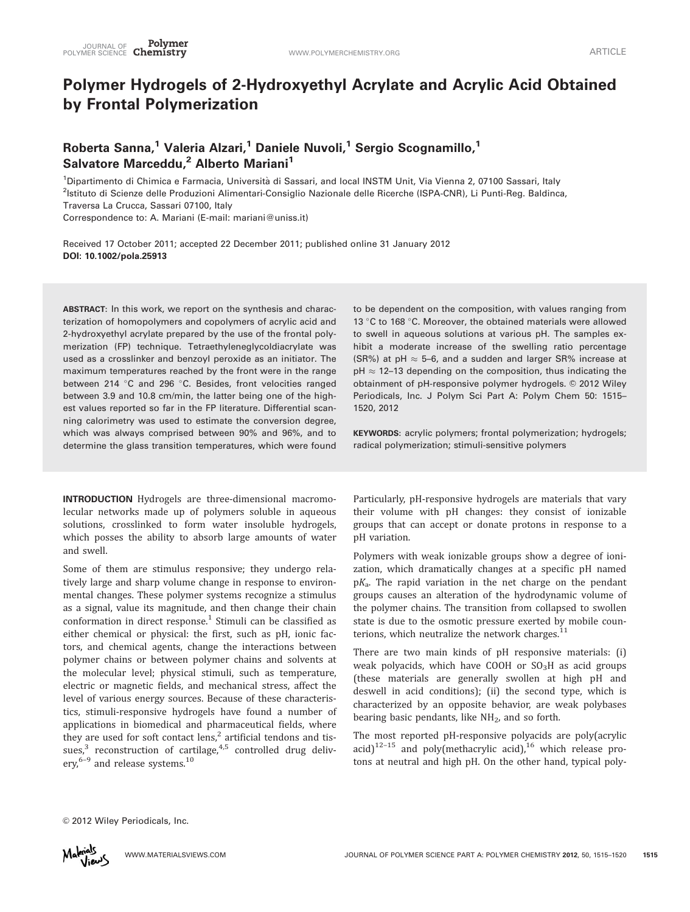## Polymer Hydrogels of 2-Hydroxyethyl Acrylate and Acrylic Acid Obtained by Frontal Polymerization

## Roberta Sanna,<sup>1</sup> Valeria Alzari,<sup>1</sup> Daniele Nuvoli,<sup>1</sup> Sergio Scognamillo,<sup>1</sup> Salvatore Marceddu,<sup>2</sup> Alberto Mariani<sup>1</sup>

<sup>1</sup>Dipartimento di Chimica e Farmacia, Università di Sassari, and local INSTM Unit, Via Vienna 2, 07100 Sassari, Italy <sup>2</sup>lstituto di Scienze delle Produzioni Alimentari-Consiglio Nazionale delle Ricerche (ISPA-CNR), Li Punti-Reg. Baldinca, Traversa La Crucca, Sassari 07100, Italy Correspondence to: A. Mariani (E-mail: mariani@uniss.it)

Received 17 October 2011; accepted 22 December 2011; published online 31 January 2012

DOI: 10.1002/pola.25913

ABSTRACT: In this work, we report on the synthesis and characterization of homopolymers and copolymers of acrylic acid and 2-hydroxyethyl acrylate prepared by the use of the frontal polymerization (FP) technique. Tetraethyleneglycoldiacrylate was used as a crosslinker and benzoyl peroxide as an initiator. The maximum temperatures reached by the front were in the range between 214 °C and 296 °C. Besides, front velocities ranged between 3.9 and 10.8 cm/min, the latter being one of the highest values reported so far in the FP literature. Differential scanning calorimetry was used to estimate the conversion degree, which was always comprised between 90% and 96%, and to determine the glass transition temperatures, which were found

INTRODUCTION Hydrogels are three-dimensional macromolecular networks made up of polymers soluble in aqueous solutions, crosslinked to form water insoluble hydrogels, which posses the ability to absorb large amounts of water and swell.

Some of them are stimulus responsive; they undergo relatively large and sharp volume change in response to environmental changes. These polymer systems recognize a stimulus as a signal, value its magnitude, and then change their chain conformation in direct response.<sup>1</sup> Stimuli can be classified as either chemical or physical: the first, such as pH, ionic factors, and chemical agents, change the interactions between polymer chains or between polymer chains and solvents at the molecular level; physical stimuli, such as temperature, electric or magnetic fields, and mechanical stress, affect the level of various energy sources. Because of these characteristics, stimuli-responsive hydrogels have found a number of applications in biomedical and pharmaceutical fields, where they are used for soft contact  $lens$ ,<sup>2</sup> artificial tendons and tissues, $3$  reconstruction of cartilage, $4.5$  controlled drug delivery,<sup>6-9</sup> and release systems.<sup>10</sup>

to be dependent on the composition, with values ranging from 13 °C to 168 °C. Moreover, the obtained materials were allowed to swell in aqueous solutions at various pH. The samples exhibit a moderate increase of the swelling ratio percentage (SR%) at pH  $\approx$  5–6, and a sudden and larger SR% increase at pH  $\approx$  12–13 depending on the composition, thus indicating the obtainment of pH-responsive polymer hydrogels. © 2012 Wiley Periodicals, Inc. J Polym Sci Part A: Polym Chem 50: 1515– 1520, 2012

KEYWORDS: acrylic polymers; frontal polymerization; hydrogels; radical polymerization; stimuli-sensitive polymers

Particularly, pH-responsive hydrogels are materials that vary their volume with pH changes: they consist of ionizable groups that can accept or donate protons in response to a pH variation.

Polymers with weak ionizable groups show a degree of ionization, which dramatically changes at a specific pH named  $pK_a$ . The rapid variation in the net charge on the pendant groups causes an alteration of the hydrodynamic volume of the polymer chains. The transition from collapsed to swollen state is due to the osmotic pressure exerted by mobile counterions, which neutralize the network charges. $11$ 

There are two main kinds of pH responsive materials: (i) weak polyacids, which have COOH or  $SO<sub>3</sub>H$  as acid groups (these materials are generally swollen at high pH and deswell in acid conditions); (ii) the second type, which is characterized by an opposite behavior, are weak polybases bearing basic pendants, like  $NH<sub>2</sub>$ , and so forth.

The most reported pH-responsive polyacids are poly(acrylic acid)<sup>12-15</sup> and poly(methacrylic acid),<sup>16</sup> which release protons at neutral and high pH. On the other hand, typical poly-

© 2012 Wiley Periodicals, Inc.

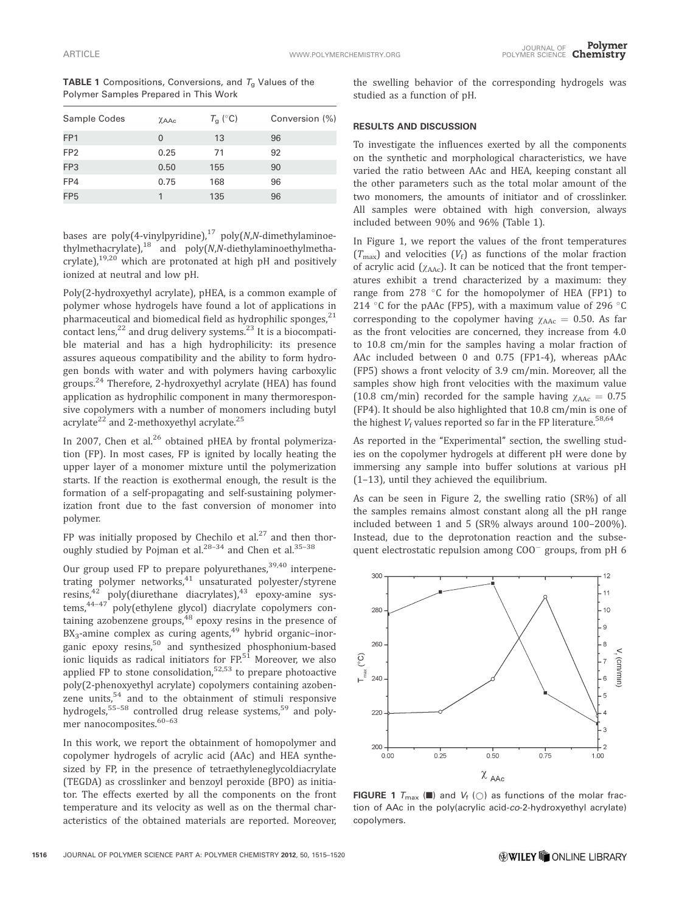| <b>TABLE 1</b> Compositions, Conversions, and $T_q$ Values of the |
|-------------------------------------------------------------------|
| Polymer Samples Prepared in This Work                             |

| Sample Codes    | XAAc     | $T_{\rm g}$ (°C) | Conversion (%) |
|-----------------|----------|------------------|----------------|
| FP <sub>1</sub> | $\Omega$ | 13               | 96             |
| FP <sub>2</sub> | 0.25     | 71               | 92             |
| FP3             | 0.50     | 155              | 90             |
| FP4             | 0.75     | 168              | 96             |
| FP <sub>5</sub> |          | 135              | 96             |

bases are poly(4-vinylpyridine),<sup>17</sup> poly(N,N-dimethylaminoethylmethacrylate),18 and poly(N,N-diethylaminoethylmethacrylate), $19,20$  which are protonated at high pH and positively ionized at neutral and low pH.

Poly(2-hydroxyethyl acrylate), pHEA, is a common example of polymer whose hydrogels have found a lot of applications in pharmaceutical and biomedical field as hydrophilic sponges, $^{21}$ contact lens,<sup>22</sup> and drug delivery systems.<sup>23</sup> It is a biocompatible material and has a high hydrophilicity: its presence assures aqueous compatibility and the ability to form hydrogen bonds with water and with polymers having carboxylic groups.<sup>24</sup> Therefore, 2-hydroxyethyl acrylate (HEA) has found application as hydrophilic component in many thermoresponsive copolymers with a number of monomers including butyl acrylate<sup>22</sup> and 2-methoxyethyl acrylate.<sup>25</sup>

In 2007, Chen et al. $^{26}$  obtained pHEA by frontal polymerization (FP). In most cases, FP is ignited by locally heating the upper layer of a monomer mixture until the polymerization starts. If the reaction is exothermal enough, the result is the formation of a self-propagating and self-sustaining polymerization front due to the fast conversion of monomer into polymer.

FP was initially proposed by Chechilo et al. $27$  and then thoroughly studied by Pojman et al. $^{28-34}$  and Chen et al. $^{35-38}$ 

Our group used FP to prepare polyurethanes,<sup>39,40</sup> interpenetrating polymer networks,<sup>41</sup> unsaturated polyester/styrene resins,<sup>42</sup> poly(diurethane diacrylates),<sup>43</sup> epoxy-amine systems,<sup>44-47</sup> poly(ethylene glycol) diacrylate copolymers containing azobenzene groups,<sup>48</sup> epoxy resins in the presence of  $BX_3$ -amine complex as curing agents,<sup>49</sup> hybrid organic–inorganic epoxy resins,<sup>50</sup> and synthesized phosphonium-based ionic liquids as radical initiators for  $FP<sub>51</sub>$  Moreover, we also applied FP to stone consolidation, $52,53$  to prepare photoactive poly(2-phenoxyethyl acrylate) copolymers containing azobenzene units, $54$  and to the obtainment of stimuli responsive hydrogels,  $55-58$  controlled drug release systems,  $59$  and polymer nanocomposites. $60-63$ 

In this work, we report the obtainment of homopolymer and copolymer hydrogels of acrylic acid (AAc) and HEA synthesized by FP, in the presence of tetraethyleneglycoldiacrylate (TEGDA) as crosslinker and benzoyl peroxide (BPO) as initiator. The effects exerted by all the components on the front temperature and its velocity as well as on the thermal characteristics of the obtained materials are reported. Moreover,

the swelling behavior of the corresponding hydrogels was studied as a function of pH.

## RESULTS AND DISCUSSION

To investigate the influences exerted by all the components on the synthetic and morphological characteristics, we have varied the ratio between AAc and HEA, keeping constant all the other parameters such as the total molar amount of the two monomers, the amounts of initiator and of crosslinker. All samples were obtained with high conversion, always included between 90% and 96% (Table 1).

In Figure 1, we report the values of the front temperatures  $(T_{\text{max}})$  and velocities  $(V_f)$  as functions of the molar fraction of acrylic acid  $(\chi_{\text{AAC}})$ . It can be noticed that the front temperatures exhibit a trend characterized by a maximum: they range from 278  $\degree$ C for the homopolymer of HEA (FP1) to 214 °C for the pAAc (FP5), with a maximum value of 296 °C corresponding to the copolymer having  $\chi_{\text{AAC}} = 0.50$ . As far as the front velocities are concerned, they increase from 4.0 to 10.8 cm/min for the samples having a molar fraction of AAc included between 0 and 0.75 (FP1-4), whereas pAAc (FP5) shows a front velocity of 3.9 cm/min. Moreover, all the samples show high front velocities with the maximum value (10.8 cm/min) recorded for the sample having  $\chi_{\text{AAC}} = 0.75$ (FP4). It should be also highlighted that 10.8 cm/min is one of the highest  $V_f$  values reported so far in the FP literature.<sup>58,64</sup>

As reported in the "Experimental" section, the swelling studies on the copolymer hydrogels at different pH were done by immersing any sample into buffer solutions at various pH (1–13), until they achieved the equilibrium.

As can be seen in Figure 2, the swelling ratio (SR%) of all the samples remains almost constant along all the pH range included between 1 and 5 (SR% always around 100–200%). Instead, due to the deprotonation reaction and the subsequent electrostatic repulsion among  $COO<sup>-</sup>$  groups, from pH 6



**FIGURE 1**  $T_{\text{max}}$  ( $\blacksquare$ ) and  $V_f$  ( $\bigcirc$ ) as functions of the molar fraction of AAc in the poly(acrylic acid-co-2-hydroxyethyl acrylate) copolymers.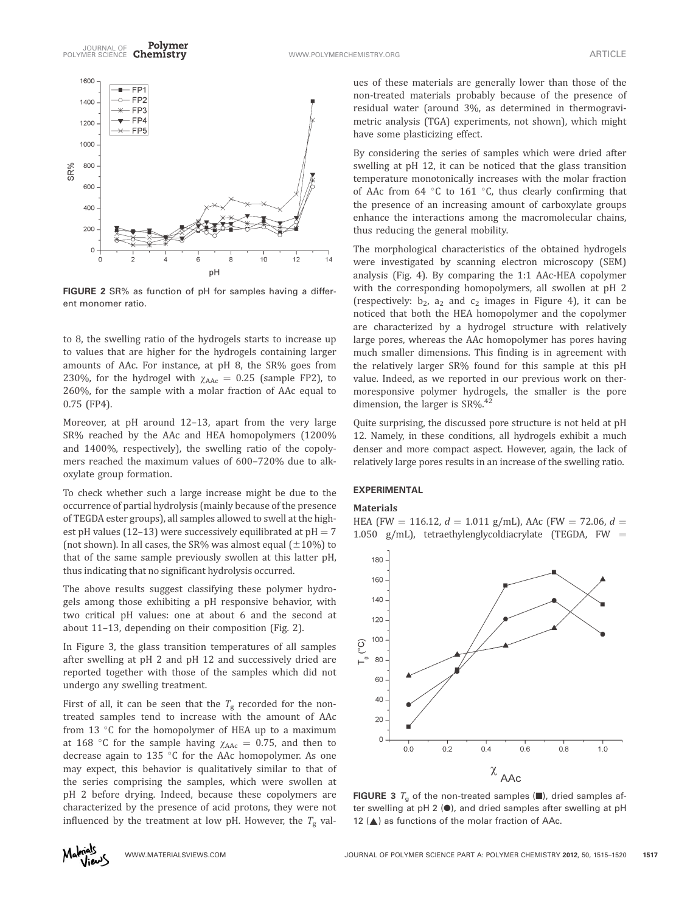

FIGURE 2 SR% as function of pH for samples having a different monomer ratio.

to 8, the swelling ratio of the hydrogels starts to increase up to values that are higher for the hydrogels containing larger amounts of AAc. For instance, at pH 8, the SR% goes from 230%, for the hydrogel with  $\chi_{\text{AAC}} = 0.25$  (sample FP2), to 260%, for the sample with a molar fraction of AAc equal to 0.75 (FP4).

Moreover, at pH around 12–13, apart from the very large SR% reached by the AAc and HEA homopolymers (1200% and 1400%, respectively), the swelling ratio of the copolymers reached the maximum values of 600–720% due to alkoxylate group formation.

To check whether such a large increase might be due to the occurrence of partial hydrolysis (mainly because of the presence of TEGDA ester groups), all samples allowed to swell at the highest pH values (12–13) were successively equilibrated at  $pH = 7$ (not shown). In all cases, the SR% was almost equal  $(\pm 10\%)$  to that of the same sample previously swollen at this latter pH, thus indicating that no significant hydrolysis occurred.

The above results suggest classifying these polymer hydrogels among those exhibiting a pH responsive behavior, with two critical pH values: one at about 6 and the second at about 11–13, depending on their composition (Fig. 2).

In Figure 3, the glass transition temperatures of all samples after swelling at pH 2 and pH 12 and successively dried are reported together with those of the samples which did not undergo any swelling treatment.

First of all, it can be seen that the  $T_g$  recorded for the nontreated samples tend to increase with the amount of AAc from 13  $\degree$ C for the homopolymer of HEA up to a maximum at 168 °C for the sample having  $\chi_{\text{AAC}} = 0.75$ , and then to decrease again to 135  $\degree$ C for the AAc homopolymer. As one may expect, this behavior is qualitatively similar to that of the series comprising the samples, which were swollen at pH 2 before drying. Indeed, because these copolymers are characterized by the presence of acid protons, they were not influenced by the treatment at low pH. However, the  $T_{\text{g}}$  values of these materials are generally lower than those of the non-treated materials probably because of the presence of residual water (around 3%, as determined in thermogravimetric analysis (TGA) experiments, not shown), which might have some plasticizing effect.

By considering the series of samples which were dried after swelling at pH 12, it can be noticed that the glass transition temperature monotonically increases with the molar fraction of AAc from 64  $\degree$ C to 161  $\degree$ C, thus clearly confirming that the presence of an increasing amount of carboxylate groups enhance the interactions among the macromolecular chains, thus reducing the general mobility.

The morphological characteristics of the obtained hydrogels were investigated by scanning electron microscopy (SEM) analysis (Fig. 4). By comparing the 1:1 AAc-HEA copolymer with the corresponding homopolymers, all swollen at pH 2 (respectively:  $b_2$ ,  $a_2$  and  $c_2$  images in Figure 4), it can be noticed that both the HEA homopolymer and the copolymer are characterized by a hydrogel structure with relatively large pores, whereas the AAc homopolymer has pores having much smaller dimensions. This finding is in agreement with the relatively larger SR% found for this sample at this pH value. Indeed, as we reported in our previous work on thermoresponsive polymer hydrogels, the smaller is the pore dimension, the larger is  $SR\%$ .<sup>42</sup>

Quite surprising, the discussed pore structure is not held at pH 12. Namely, in these conditions, all hydrogels exhibit a much denser and more compact aspect. However, again, the lack of relatively large pores results in an increase of the swelling ratio.

### EXPERIMENTAL

## **Materials**

HEA (FW = 116.12,  $d = 1.011$  g/mL), AAc (FW = 72.06,  $d =$ 1.050 g/mL), tetraethylenglycoldiacrylate (TEGDA,  $FW =$ 



FIGURE 3  $T_a$  of the non-treated samples ( $\blacksquare$ ), dried samples after swelling at pH 2  $\left(\bullet\right)$ , and dried samples after swelling at pH 12  $(A)$  as functions of the molar fraction of AAc.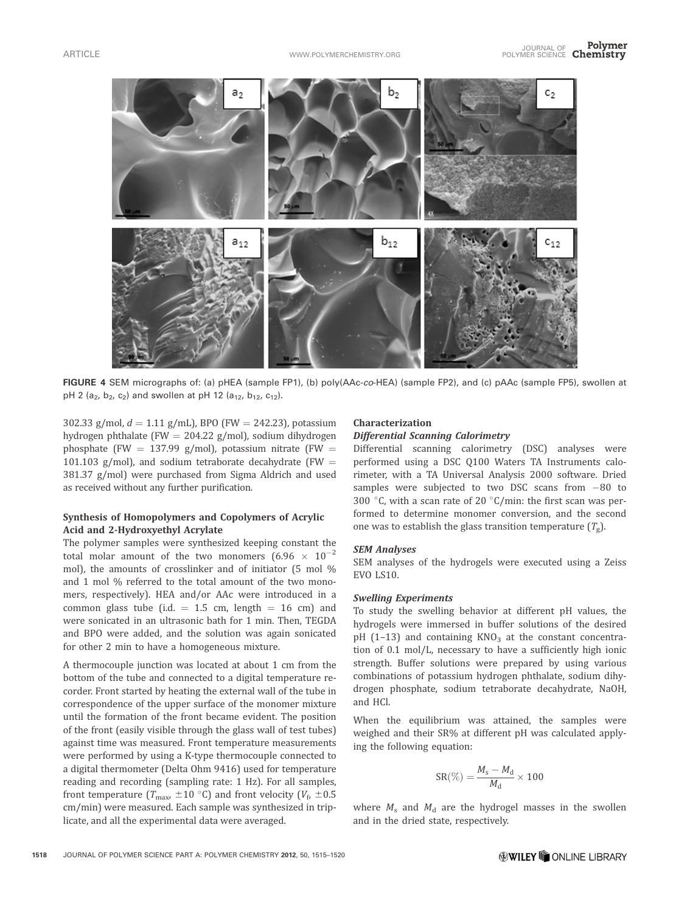

FIGURE 4 SEM micrographs of: (a) pHEA (sample FP1), (b) poly(AAc-co-HEA) (sample FP2), and (c) pAAc (sample FP5), swollen at pH 2 (a<sub>2</sub>, b<sub>2</sub>, c<sub>2</sub>) and swollen at pH 12 (a<sub>12</sub>, b<sub>12</sub>, c<sub>12</sub>).

302.33 g/mol,  $d = 1.11$  g/mL), BPO (FW = 242.23), potassium hydrogen phthalate (FW = 204.22 g/mol), sodium dihydrogen phosphate (FW = 137.99 g/mol), potassium nitrate (FW = 101.103 g/mol), and sodium tetraborate decahydrate (FW  $=$ 381.37 g/mol) were purchased from Sigma Aldrich and used as received without any further purification.

## Synthesis of Homopolymers and Copolymers of Acrylic Acid and 2-Hydroxyethyl Acrylate

The polymer samples were synthesized keeping constant the total molar amount of the two monomers  $(6.96 \times 10^{-2}$ mol), the amounts of crosslinker and of initiator (5 mol % and 1 mol % referred to the total amount of the two monomers, respectively). HEA and/or AAc were introduced in a common glass tube (i.d.  $= 1.5$  cm, length  $= 16$  cm) and were sonicated in an ultrasonic bath for 1 min. Then, TEGDA and BPO were added, and the solution was again sonicated for other 2 min to have a homogeneous mixture.

A thermocouple junction was located at about 1 cm from the bottom of the tube and connected to a digital temperature recorder. Front started by heating the external wall of the tube in correspondence of the upper surface of the monomer mixture until the formation of the front became evident. The position of the front (easily visible through the glass wall of test tubes) against time was measured. Front temperature measurements were performed by using a K-type thermocouple connected to a digital thermometer (Delta Ohm 9416) used for temperature reading and recording (sampling rate: 1 Hz). For all samples, front temperature ( $T_{\text{max}} \pm 10^{\circ}$ C) and front velocity ( $V_{\text{f}} \pm 0.5$ cm/min) were measured. Each sample was synthesized in triplicate, and all the experimental data were averaged.

# Characterization

Differential Scanning Calorimetry Differential scanning calorimetry (DSC) analyses were performed using a DSC Q100 Waters TA Instruments calorimeter, with a TA Universal Analysis 2000 software. Dried samples were subjected to two DSC scans from  $-80$  to 300 °C, with a scan rate of 20 °C/min: the first scan was performed to determine monomer conversion, and the second one was to establish the glass transition temperature  $(T_g)$ .

SEM Analyses SEM analyses of the hydrogels were executed using a Zeiss EVO LS10.

To study the swelling behavior at different pH values, the hydrogels were immersed in buffer solutions of the desired pH  $(1-13)$  and containing KNO<sub>3</sub> at the constant concentration of 0.1 mol/L, necessary to have a sufficiently high ionic strength. Buffer solutions were prepared by using various combinations of potassium hydrogen phthalate, sodium dihydrogen phosphate, sodium tetraborate decahydrate, NaOH, and HCl.

When the equilibrium was attained, the samples were weighed and their SR% at different pH was calculated applying the following equation:

$$
SR(\%) = \frac{M_s - M_d}{M_d} \times 100
$$

where  $M_s$  and  $M_d$  are the hydrogel masses in the swollen and in the dried state, respectively.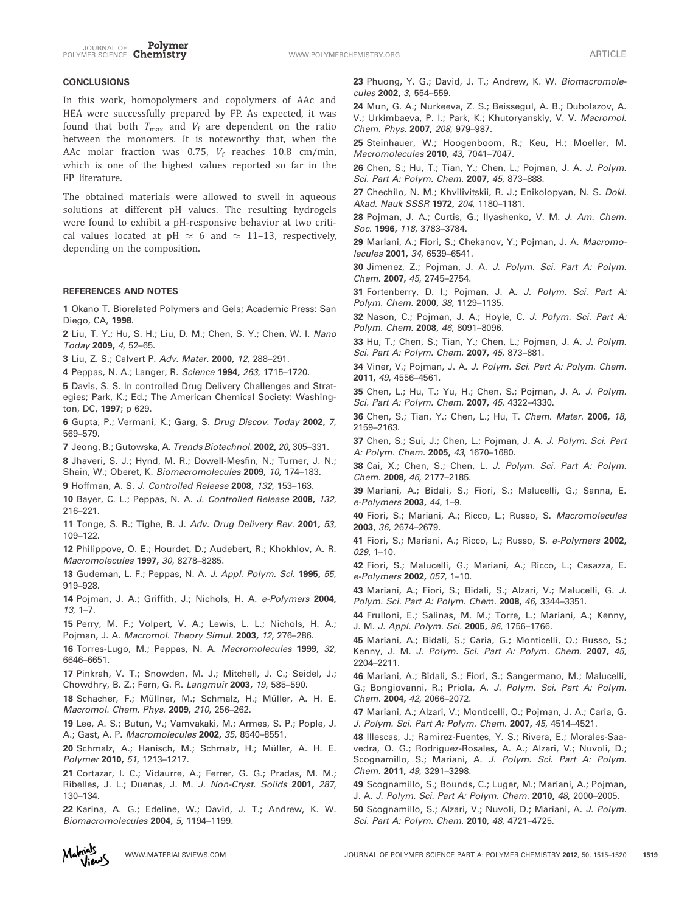

## **CONCLUSIONS**

In this work, homopolymers and copolymers of AAc and HEA were successfully prepared by FP. As expected, it was found that both  $T_{\text{max}}$  and  $V_f$  are dependent on the ratio between the monomers. It is noteworthy that, when the AAc molar fraction was 0.75,  $V_f$  reaches 10.8 cm/min, which is one of the highest values reported so far in the FP literature.

The obtained materials were allowed to swell in aqueous solutions at different pH values. The resulting hydrogels were found to exhibit a pH-responsive behavior at two critical values located at pH  $\approx$  6 and  $\approx$  11–13, respectively, depending on the composition.

### REFERENCES AND NOTES

1 Okano T. Biorelated Polymers and Gels; Academic Press: San Diego, CA, 1998.

2 Liu, T. Y.; Hu, S. H.; Liu, D. M.; Chen, S. Y.; Chen, W. I. Nano Today 2009, 4, 52–65.

3 Liu, Z. S.; Calvert P. Adv. Mater. 2000, 12, 288–291.

4 Peppas, N. A.; Langer, R. Science 1994, 263, 1715–1720.

5 Davis, S. S. In controlled Drug Delivery Challenges and Strategies; Park, K.; Ed.; The American Chemical Society: Washington, DC, 1997; p 629.

6 Gupta, P.; Vermani, K.; Garg, S. Drug Discov. Today 2002, 7, 569–579.

7 Jeong, B.; Gutowska, A. Trends Biotechnol. 2002, 20, 305–331.

8 Jhaveri, S. J.; Hynd, M. R.; Dowell-Mesfin, N.; Turner, J. N.; Shain, W.; Oberet, K. Biomacromolecules 2009, 10, 174–183.

9 Hoffman, A. S. J. Controlled Release 2008, 132, 153–163.

10 Bayer, C. L.; Peppas, N. A. J. Controlled Release 2008, 132, 216–221.

11 Tonge, S. R.; Tighe, B. J. Adv. Drug Delivery Rev. 2001, 53, 109–122.

12 Philippove, O. E.; Hourdet, D.; Audebert, R.; Khokhlov, A. R. Macromolecules 1997, 30, 8278–8285.

13 Gudeman, L. F.; Peppas, N. A. J. Appl. Polym. Sci. 1995, 55, 919–928.

14 Pojman, J. A.; Griffith, J.; Nichols, H. A. e-Polymers 2004, 13, 1–7.

15 Perry, M. F.; Volpert, V. A.; Lewis, L. L.; Nichols, H. A.; Pojman, J. A. Macromol. Theory Simul. 2003, 12, 276–286.

16 Torres-Lugo, M.; Peppas, N. A. Macromolecules 1999, 32, 6646–6651.

17 Pinkrah, V. T.; Snowden, M. J.; Mitchell, J. C.; Seidel, J.; Chowdhry, B. Z.; Fern, G. R. Langmuir 2003, 19, 585–590.

18 Schacher, F.; Müllner, M.; Schmalz, H.; Müller, A. H. E. Macromol. Chem. Phys. 2009, 210, 256–262.

19 Lee, A. S.; Butun, V.; Vamvakaki, M.; Armes, S. P.; Pople, J. A.; Gast, A. P. Macromolecules 2002, 35, 8540–8551.

20 Schmalz, A.; Hanisch, M.; Schmalz, H.; Müller, A. H. E. Polymer 2010, 51, 1213–1217.

21 Cortazar, I. C.; Vidaurre, A.; Ferrer, G. G.; Pradas, M. M.; Ribelles, J. L.; Duenas, J. M. J. Non-Cryst. Solids 2001, 287, 130–134.

22 Karina, A. G.; Edeline, W.; David, J. T.; Andrew, K. W. Biomacromolecules 2004, 5, 1194–1199.

23 Phuong, Y. G.; David, J. T.; Andrew, K. W. Biomacromolecules 2002, 3, 554–559.

24 Mun, G. A.; Nurkeeva, Z. S.; Beissegul, A. B.; Dubolazov, A. V.; Urkimbaeva, P. I.; Park, K.; Khutoryanskiy, V. V. Macromol. Chem. Phys. 2007, 208, 979–987.

25 Steinhauer, W.; Hoogenboom, R.; Keu, H.; Moeller, M. Macromolecules 2010, 43, 7041–7047.

26 Chen, S.; Hu, T.; Tian, Y.; Chen, L.; Pojman, J. A. J. Polym. Sci. Part A: Polym. Chem. 2007, 45, 873–888.

27 Chechilo, N. M.; Khvilivitskii, R. J.; Enikolopyan, N. S. Dokl. Akad. Nauk SSSR 1972, 204, 1180–1181.

28 Pojman, J. A.; Curtis, G.; Ilyashenko, V. M. J. Am. Chem. Soc. 1996, 118, 3783–3784.

29 Mariani, A.; Fiori, S.; Chekanov, Y.; Pojman, J. A. Macromolecules 2001, 34, 6539–6541.

30 Jimenez, Z.; Pojman, J. A. J. Polym. Sci. Part A: Polym. Chem. 2007, 45, 2745–2754.

31 Fortenberry, D. I.; Pojman, J. A. J. Polym. Sci. Part A: Polym. Chem. 2000, 38, 1129-1135.

32 Nason, C.; Pojman, J. A.; Hoyle, C. J. Polym. Sci. Part A: Polym. Chem. 2008, 46, 8091-8096.

33 Hu, T.; Chen, S.; Tian, Y.; Chen, L.; Pojman, J. A. J. Polym. Sci. Part A: Polym. Chem. 2007, 45, 873–881.

34 Viner, V.; Pojman, J. A. J. Polym. Sci. Part A: Polym. Chem. 2011, 49, 4556–4561.

35 Chen, L.; Hu, T.; Yu, H.; Chen, S.; Pojman, J. A. J. Polym. Sci. Part A: Polym. Chem. 2007, 45, 4322–4330.

36 Chen, S.; Tian, Y.; Chen, L.; Hu, T. Chem. Mater. 2006, 18, 2159–2163.

37 Chen, S.; Sui, J.; Chen, L.; Pojman, J. A. J. Polym. Sci. Part A: Polym. Chem. 2005, 43, 1670–1680.

38 Cai, X.; Chen, S.; Chen, L. J. Polym. Sci. Part A: Polym. Chem. 2008, 46, 2177–2185.

39 Mariani, A.; Bidali, S.; Fiori, S.; Malucelli, G.; Sanna, E. e-Polymers 2003, 44, 1–9.

40 Fiori, S.; Mariani, A.; Ricco, L.; Russo, S. Macromolecules 2003, 36, 2674–2679.

41 Fiori, S.; Mariani, A.; Ricco, L.; Russo, S. e-Polymers 2002, 029, 1–10.

42 Fiori, S.; Malucelli, G.; Mariani, A.; Ricco, L.; Casazza, E. e-Polymers 2002, 057, 1–10.

43 Mariani, A.; Fiori, S.; Bidali, S.; Alzari, V.; Malucelli, G. J. Polym. Sci. Part A: Polym. Chem. 2008, 46, 3344–3351.

44 Frulloni, E.; Salinas, M. M.; Torre, L.; Mariani, A.; Kenny, J. M. J. Appl. Polym. Sci. 2005, 96, 1756–1766.

45 Mariani, A.; Bidali, S.; Caria, G.; Monticelli, O.; Russo, S.; Kenny, J. M. J. Polym. Sci. Part A: Polym. Chem. 2007, 45, 2204–2211.

46 Mariani, A.; Bidali, S.; Fiori, S.; Sangermano, M.; Malucelli, G.; Bongiovanni, R.; Priola, A. J. Polym. Sci. Part A: Polym. Chem. 2004, 42, 2066–2072.

47 Mariani, A.; Alzari, V.; Monticelli, O.; Pojman, J. A.; Caria, G. J. Polym. Sci. Part A: Polym. Chem. 2007, 45, 4514–4521.

48 Illescas, J.; Ramirez-Fuentes, Y. S.; Rivera, E.; Morales-Saavedra, O. G.; Rodríguez-Rosales, A. A.; Alzari, V.; Nuvoli, D.; Scognamillo, S.; Mariani, A. J. Polym. Sci. Part A: Polym. Chem. 2011, 49, 3291–3298.

49 Scognamillo, S.; Bounds, C.; Luger, M.; Mariani, A.; Pojman, J. A. J. Polym. Sci. Part A: Polym. Chem. 2010, 48, 2000–2005.

50 Scognamillo, S.; Alzari, V.; Nuvoli, D.; Mariani, A. J. Polym. Sci. Part A: Polym. Chem. 2010, 48, 4721–4725.